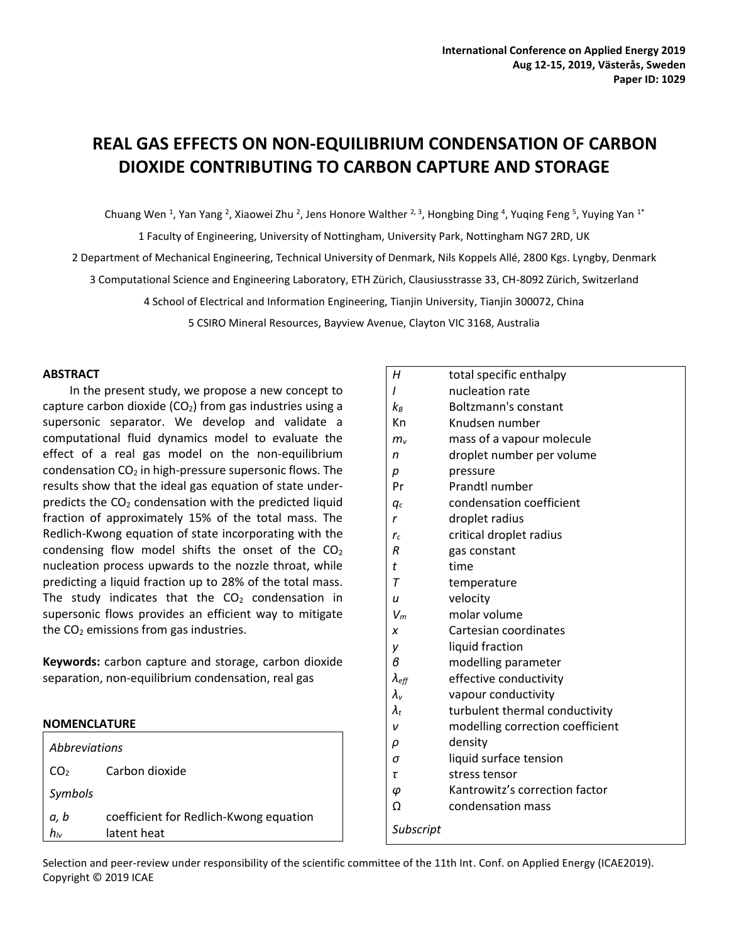# **REAL GAS EFFECTS ON NON-EQUILIBRIUM CONDENSATION OF CARBON DIOXIDE CONTRIBUTING TO CARBON CAPTURE AND STORAGE**

Chuang Wen <sup>1</sup>, Yan Yang <sup>2</sup>, Xiaowei Zhu <sup>2</sup>, Jens Honore Walther <sup>2, 3</sup>, Hongbing Ding <sup>4</sup>, Yuqing Feng <sup>5</sup>, Yuying Yan <sup>1\*</sup>

1 Faculty of Engineering, University of Nottingham, University Park, Nottingham NG7 2RD, UK 2 Department of Mechanical Engineering, Technical University of Denmark, Nils Koppels Allé, 2800 Kgs. Lyngby, Denmark 3 Computational Science and Engineering Laboratory, ETH Zürich, Clausiusstrasse 33, CH-8092 Zürich, Switzerland 4 School of Electrical and Information Engineering, Tianjin University, Tianjin 300072, China

5 CSIRO Mineral Resources, Bayview Avenue, Clayton VIC 3168, Australia

# **ABSTRACT**

In the present study, we propose a new concept to capture carbon dioxide  $(CO<sub>2</sub>)$  from gas industries using a supersonic separator. We develop and validate a computational fluid dynamics model to evaluate the effect of a real gas model on the non-equilibrium condensation  $CO<sub>2</sub>$  in high-pressure supersonic flows. The results show that the ideal gas equation of state underpredicts the  $CO<sub>2</sub>$  condensation with the predicted liquid fraction of approximately 15% of the total mass. The Redlich-Kwong equation of state incorporating with the condensing flow model shifts the onset of the  $CO<sub>2</sub>$ nucleation process upwards to the nozzle throat, while predicting a liquid fraction up to 28% of the total mass. The study indicates that the  $CO<sub>2</sub>$  condensation in supersonic flows provides an efficient way to mitigate the  $CO<sub>2</sub>$  emissions from gas industries.

**Keywords:** carbon capture and storage, carbon dioxide separation, non-equilibrium condensation, real gas

# **NOMENCLATURE**

| Abbreviations           |                                                       |  |
|-------------------------|-------------------------------------------------------|--|
| CO <sub>2</sub>         | Carbon dioxide                                        |  |
| Symbols                 |                                                       |  |
| a, b<br>h <sub>iv</sub> | coefficient for Redlich-Kwong equation<br>latent heat |  |

| Н                   | total specific enthalpy          |
|---------------------|----------------------------------|
| ı                   | nucleation rate                  |
| $k_{B}$             | <b>Boltzmann's constant</b>      |
| Кn                  | Knudsen number                   |
| $m_{v}$             | mass of a vapour molecule        |
| n                   | droplet number per volume        |
| р                   | pressure                         |
| Pr                  | <b>Prandtl number</b>            |
| qс                  | condensation coefficient         |
| r                   | droplet radius                   |
| $r_c$               | critical droplet radius          |
| R                   | gas constant                     |
| t                   | time                             |
| Τ                   | temperature                      |
| u                   | velocity                         |
| $V_m$               | molar volume                     |
| x                   | Cartesian coordinates            |
| y                   | liquid fraction                  |
| в                   | modelling parameter              |
| $\lambda_{\it eff}$ | effective conductivity           |
| $\lambda_{\rm v}$   | vapour conductivity              |
| $\lambda_{t}$       | turbulent thermal conductivity   |
| ν                   | modelling correction coefficient |
| ρ                   | density                          |
| σ                   | liquid surface tension           |
| τ                   | stress tensor                    |
| φ                   | Kantrowitz's correction factor   |
| Ω                   | condensation mass                |

Selection and peer-review under responsibility of the scientific committee of the 11th Int. Conf. on Applied Energy (ICAE2019). Copyright © 2019 ICAE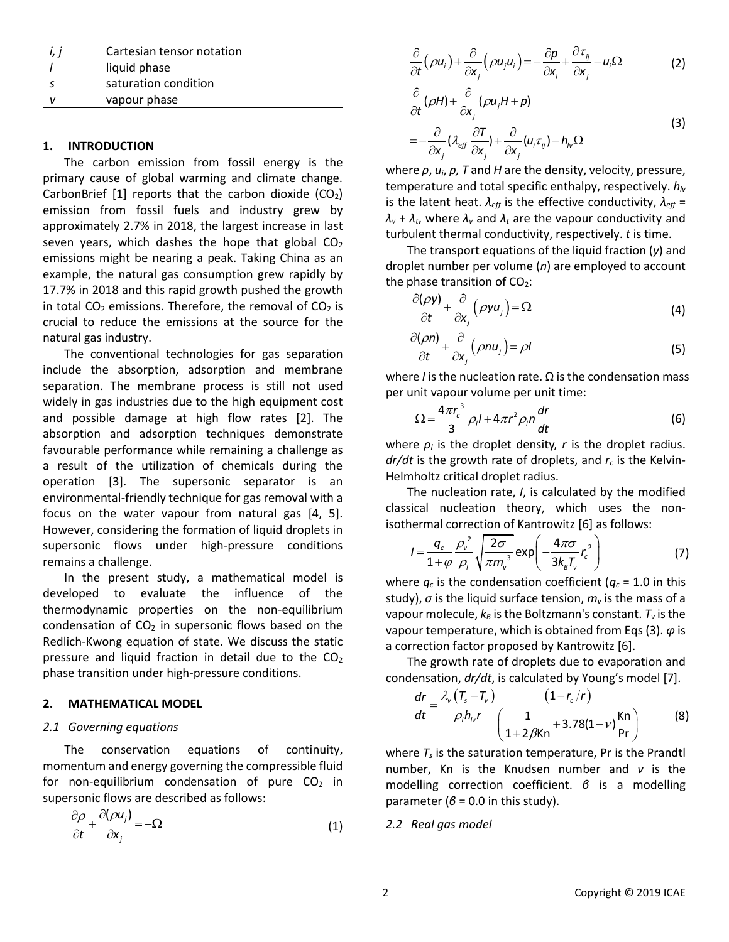| $\vert i,j \vert$ | Cartesian tensor notation |  |
|-------------------|---------------------------|--|
|                   | liquid phase              |  |
|                   | saturation condition      |  |
|                   | vapour phase              |  |

# **1. INTRODUCTION**

The carbon emission from fossil energy is the primary cause of global warming and climate change. CarbonBrief  $[1]$  reports that the carbon dioxide  $(CO_2)$ emission from fossil fuels and industry grew by approximately 2.7% in 2018, the largest increase in last seven years, which dashes the hope that global  $CO<sub>2</sub>$ emissions might be nearing a peak. Taking China as an example, the natural gas consumption grew rapidly by 17.7% in 2018 and this rapid growth pushed the growth in total  $CO<sub>2</sub>$  emissions. Therefore, the removal of  $CO<sub>2</sub>$  is crucial to reduce the emissions at the source for the natural gas industry.

The conventional technologies for gas separation include the absorption, adsorption and membrane separation. The membrane process is still not used widely in gas industries due to the high equipment cost and possible damage at high flow rates [2]. The absorption and adsorption techniques demonstrate favourable performance while remaining a challenge as a result of the utilization of chemicals during the operation [3]. The supersonic separator is an environmental-friendly technique for gas removal with a focus on the water vapour from natural gas [4, 5]. However, considering the formation of liquid droplets in supersonic flows under high-pressure conditions remains a challenge.

In the present study, a mathematical model is developed to evaluate the influence of the thermodynamic properties on the non-equilibrium condensation of  $CO<sub>2</sub>$  in supersonic flows based on the Redlich-Kwong equation of state. We discuss the static pressure and liquid fraction in detail due to the  $CO<sub>2</sub>$ phase transition under high-pressure conditions.

#### **2. MATHEMATICAL MODEL**

#### *2.1 Governing equations*

The conservation equations of continuity, momentum and energy governing the compressible fluid for non-equilibrium condensation of pure  $CO<sub>2</sub>$  in supersonic flows are described as follows:

$$
\frac{\partial \rho}{\partial t} + \frac{\partial (\rho u_j)}{\partial x_j} = -\Omega \tag{1}
$$

$$
\frac{\partial}{\partial t}(\rho u_i) + \frac{\partial}{\partial x_j}(\rho u_j u_i) = -\frac{\partial p}{\partial x_i} + \frac{\partial \tau_{ij}}{\partial x_j} - u_i \Omega
$$
 (2)

$$
\frac{\partial}{\partial t}(\rho H) + \frac{\partial}{\partial x_j}(\rho u_j H + p) \n= -\frac{\partial}{\partial x_j}(\lambda_{eff} \frac{\partial T}{\partial x_j}) + \frac{\partial}{\partial x_j}(u_i \tau_{ij}) - h_{iv}\Omega
$$
\n(3)

where *ρ*, *ui*, *p, T* and *H* are the density, velocity, pressure, temperature and total specific enthalpy, respectively. *hlv* is the latent heat.  $\lambda_{\text{eff}}$  is the effective conductivity,  $\lambda_{\text{eff}} =$  $\lambda$ <sup>*v*</sup> +  $\lambda$ <sup>*t*</sup>, where  $\lambda$ <sup>*v*</sup> and  $\lambda$ <sup>*t*</sup> are the vapour conductivity and turbulent thermal conductivity, respectively. *t* is time.

The transport equations of the liquid fraction (*y*) and droplet number per volume (*n*) are employed to account the phase transition of  $CO<sub>2</sub>$ :

$$
\frac{\partial(\rho y)}{\partial t} + \frac{\partial}{\partial x_j} (\rho y u_j) = \Omega \tag{4}
$$

$$
\frac{\partial(\rho n)}{\partial t} + \frac{\partial}{\partial x_j} (\rho n u_j) = \rho l \tag{5}
$$

where *I* is the nucleation rate. Ω is the condensation mass per unit vapour volume per unit time:

$$
\Omega = \frac{4\pi r_c^3}{3} \rho_l l + 4\pi r^2 \rho_l n \frac{dr}{dt}
$$
 (6)

where  $\rho_l$  is the droplet density,  $r$  is the droplet radius. *dr/dt* is the growth rate of droplets, and *r<sup>c</sup>* is the Kelvin-Helmholtz critical droplet radius.

The nucleation rate, *I*, is calculated by the modified classical nucleation theory, which uses the non-

isothermal correction of Kantrowitz [6] as follows:  
\n
$$
I = \frac{q_c}{1 + \varphi} \frac{\rho_v^2}{\rho_i} \sqrt{\frac{2\sigma}{\pi m_v^3}} \exp\left(-\frac{4\pi\sigma}{3k_bT_v}r_c^2\right)
$$
\n(7)

where  $q_c$  is the condensation coefficient ( $q_c$  = 1.0 in this study), *σ* is the liquid surface tension, *m<sup>v</sup>* is the mass of a vapour molecule,  $k_B$  is the Boltzmann's constant.  $T_v$  is the vapour temperature, which is obtained from Eqs (3). *φ* is a correction factor proposed by Kantrowitz [6].

The growth rate of droplets due to evaporation and

condensation, *dr/dt*, is calculated by Young's model [7].  
\n
$$
\frac{dr}{dt} = \frac{\lambda_v (T_s - T_v)}{\rho_l h_v r} \frac{(1 - r_c/r)}{\left(\frac{1}{1 + 2\beta \text{Kn}} + 3.78(1 - v)\frac{\text{Kn}}{\text{Pr}}\right)}
$$
\n(8)

where *T<sup>s</sup>* is the saturation temperature, Pr is the Prandtl number, Kn is the Knudsen number and *ν* is the modelling correction coefficient. *β* is a modelling parameter ( $\beta$  = 0.0 in this study).

*2.2 Real gas model*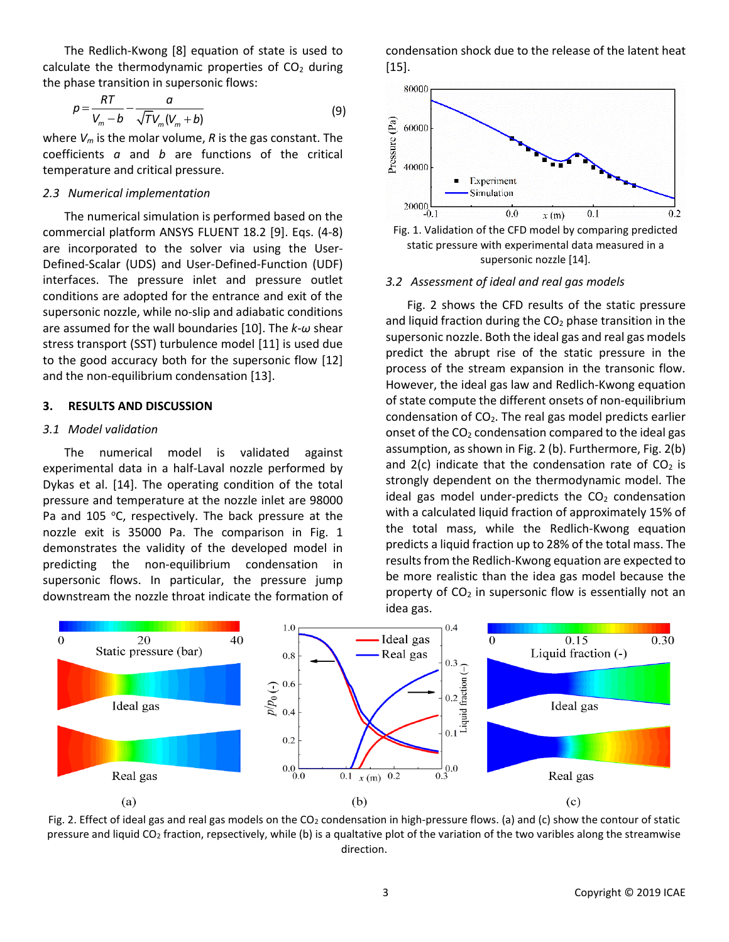The Redlich-Kwong [8] equation of state is used to calculate the thermodynamic properties of  $CO<sub>2</sub>$  during the phase transition in supersonic flows:

$$
p = \frac{RT}{V_m - b} - \frac{a}{\sqrt{T}V_m(V_m + b)}
$$
(9)

where *V<sup>m</sup>* is the molar volume, *R* is the gas constant. The coefficients *a* and *b* are functions of the critical temperature and critical pressure.

#### *2.3 Numerical implementation*

The numerical simulation is performed based on the commercial platform ANSYS FLUENT 18.2 [9]. Eqs. (4-8) are incorporated to the solver via using the User-Defined-Scalar (UDS) and User-Defined-Function (UDF) interfaces. The pressure inlet and pressure outlet conditions are adopted for the entrance and exit of the supersonic nozzle, while no-slip and adiabatic conditions are assumed for the wall boundaries [10]. The *k*-*ω* shear stress transport (SST) turbulence model [11] is used due to the good accuracy both for the supersonic flow [12] and the non-equilibrium condensation [13].

#### **3. RESULTS AND DISCUSSION**

#### *3.1 Model validation*

The numerical model is validated against experimental data in a half-Laval nozzle performed by Dykas et al. [14]. The operating condition of the total pressure and temperature at the nozzle inlet are 98000 Pa and 105 °C, respectively. The back pressure at the nozzle exit is 35000 Pa. The comparison in Fig. 1 demonstrates the validity of the developed model in predicting the non-equilibrium condensation in supersonic flows. In particular, the pressure jump downstream the nozzle throat indicate the formation of condensation shock due to the release of the latent heat [15].





#### *3.2 Assessment of ideal and real gas models*

Fig. 2 shows the CFD results of the static pressure and liquid fraction during the  $CO<sub>2</sub>$  phase transition in the supersonic nozzle. Both the ideal gas and real gas models predict the abrupt rise of the static pressure in the process of the stream expansion in the transonic flow. However, the ideal gas law and Redlich-Kwong equation of state compute the different onsets of non-equilibrium condensation of  $CO<sub>2</sub>$ . The real gas model predicts earlier onset of the  $CO<sub>2</sub>$  condensation compared to the ideal gas assumption, as shown in Fig. 2 (b). Furthermore, Fig. 2(b) and  $2(c)$  indicate that the condensation rate of  $CO<sub>2</sub>$  is strongly dependent on the thermodynamic model. The ideal gas model under-predicts the  $CO<sub>2</sub>$  condensation with a calculated liquid fraction of approximately 15% of the total mass, while the Redlich-Kwong equation predicts a liquid fraction up to 28% of the total mass. The results from the Redlich-Kwong equation are expected to be more realistic than the idea gas model because the property of  $CO<sub>2</sub>$  in supersonic flow is essentially not an idea gas.



Fig. 2. Effect of ideal gas and real gas models on the  $CO<sub>2</sub>$  condensation in high-pressure flows. (a) and (c) show the contour of static pressure and liquid CO<sup>2</sup> fraction, repsectively, while (b) is a qualtative plot of the variation of the two varibles along the streamwise direction.